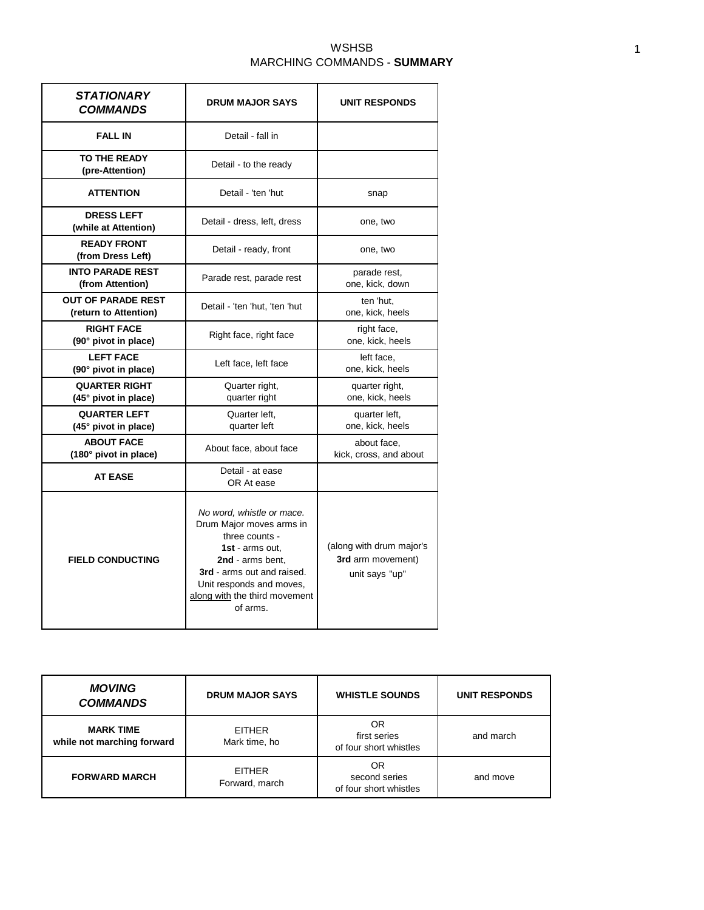## WSHSB MARCHING COMMANDS - **SUMMARY**

| <i><b>STATIONARY</b></i><br><b>COMMANDS</b>        | <b>DRUM MAJOR SAYS</b>                                                                                                                                                                                                | <b>UNIT RESPONDS</b>                                            |
|----------------------------------------------------|-----------------------------------------------------------------------------------------------------------------------------------------------------------------------------------------------------------------------|-----------------------------------------------------------------|
| <b>FALL IN</b>                                     | Detail - fall in                                                                                                                                                                                                      |                                                                 |
| TO THE READY<br>(pre-Attention)                    | Detail - to the ready                                                                                                                                                                                                 |                                                                 |
| <b>ATTENTION</b>                                   | Detail - 'ten 'hut                                                                                                                                                                                                    | snap                                                            |
| <b>DRESS LEFT</b><br>(while at Attention)          | Detail - dress, left, dress                                                                                                                                                                                           | one, two                                                        |
| <b>READY FRONT</b><br>(from Dress Left)            | Detail - ready, front                                                                                                                                                                                                 | one, two                                                        |
| <b>INTO PARADE REST</b><br>(from Attention)        | Parade rest, parade rest                                                                                                                                                                                              | parade rest,<br>one, kick, down                                 |
| <b>OUT OF PARADE REST</b><br>(return to Attention) | Detail - 'ten 'hut, 'ten 'hut                                                                                                                                                                                         | ten 'hut.<br>one, kick, heels                                   |
| <b>RIGHT FACE</b><br>(90° pivot in place)          | Right face, right face                                                                                                                                                                                                | right face,<br>one, kick, heels                                 |
| <b>LEFT FACE</b><br>(90° pivot in place)           | Left face, left face                                                                                                                                                                                                  | left face.<br>one, kick, heels                                  |
| <b>QUARTER RIGHT</b><br>$(45°$ pivot in place)     | Quarter right,<br>quarter right                                                                                                                                                                                       | quarter right,<br>one, kick, heels                              |
| <b>QUARTER LEFT</b><br>$(45°$ pivot in place)      | Quarter left,<br>quarter left,<br>one, kick, heels<br>quarter left                                                                                                                                                    |                                                                 |
| <b>ABOUT FACE</b><br>(180° pivot in place)         | About face, about face                                                                                                                                                                                                | about face,<br>kick, cross, and about                           |
| <b>AT EASE</b>                                     | Detail - at ease<br>OR At ease                                                                                                                                                                                        |                                                                 |
| <b>FIELD CONDUCTING</b>                            | No word, whistle or mace.<br>Drum Major moves arms in<br>three counts -<br>1st - arms out.<br>2nd - arms bent.<br>3rd - arms out and raised.<br>Unit responds and moves,<br>along with the third movement<br>of arms. | (along with drum major's<br>3rd arm movement)<br>unit says "up" |

| <b>MOVING</b><br><b>COMMANDS</b>               | <b>DRUM MAJOR SAYS</b>          | <b>WHISTLE SOUNDS</b>                         | <b>UNIT RESPONDS</b> |
|------------------------------------------------|---------------------------------|-----------------------------------------------|----------------------|
| <b>MARK TIME</b><br>while not marching forward | <b>EITHER</b><br>Mark time, ho  | OR<br>first series<br>of four short whistles  | and march            |
| <b>FORWARD MARCH</b>                           | <b>EITHER</b><br>Forward, march | OR<br>second series<br>of four short whistles | and move             |